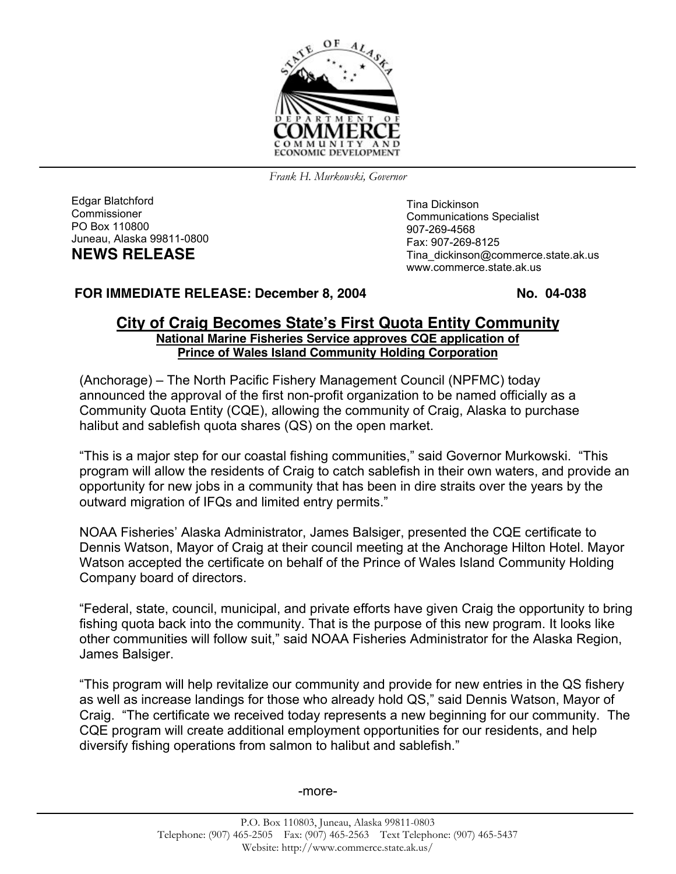

*Frank H. Murkowski, Governor*

Edgar Blatchford Commissioner PO Box 110800 Juneau, Alaska 99811-0800 **NEWS RELEASE**

Tina Dickinson Communications Specialist 907-269-4568 Fax: 907-269-8125 Tina\_dickinson@commerce.state.ak.us www.commerce.state.ak.us

## **FOR IMMEDIATE RELEASE: December 8, 2004 No. 04-038**

## **City of Craig Becomes State's First Quota Entity Community National Marine Fisheries Service approves CQE application of Prince of Wales Island Community Holding Corporation**

(Anchorage) – The North Pacific Fishery Management Council (NPFMC) today announced the approval of the first non-profit organization to be named officially as a Community Quota Entity (CQE), allowing the community of Craig, Alaska to purchase halibut and sablefish quota shares (QS) on the open market.

"This is a major step for our coastal fishing communities," said Governor Murkowski. "This program will allow the residents of Craig to catch sablefish in their own waters, and provide an opportunity for new jobs in a community that has been in dire straits over the years by the outward migration of IFQs and limited entry permits."

NOAA Fisheries' Alaska Administrator, James Balsiger, presented the CQE certificate to Dennis Watson, Mayor of Craig at their council meeting at the Anchorage Hilton Hotel. Mayor Watson accepted the certificate on behalf of the Prince of Wales Island Community Holding Company board of directors.

"Federal, state, council, municipal, and private efforts have given Craig the opportunity to bring fishing quota back into the community. That is the purpose of this new program. It looks like other communities will follow suit," said NOAA Fisheries Administrator for the Alaska Region, James Balsiger.

"This program will help revitalize our community and provide for new entries in the QS fishery as well as increase landings for those who already hold QS," said Dennis Watson, Mayor of Craig. "The certificate we received today represents a new beginning for our community. The CQE program will create additional employment opportunities for our residents, and help diversify fishing operations from salmon to halibut and sablefish."

-more-